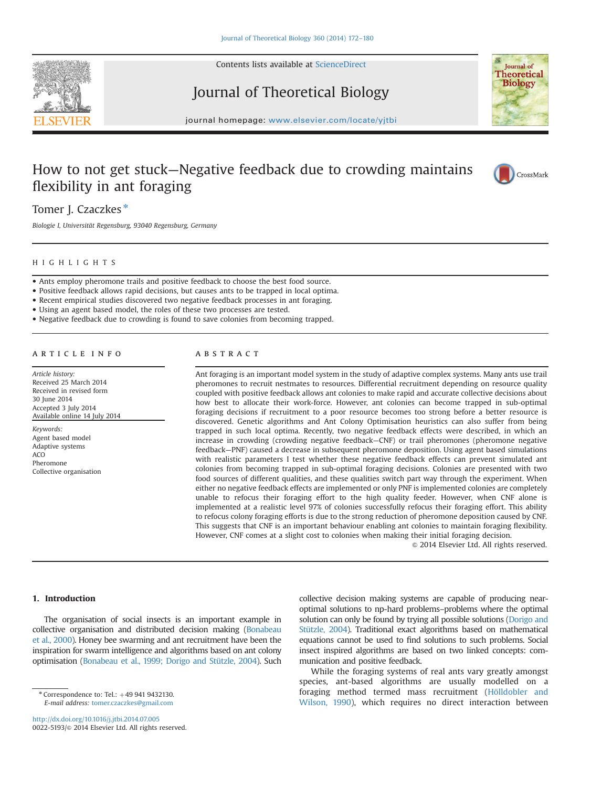

Contents lists available at [ScienceDirect](www.sciencedirect.com/science/journal/00225193)

Journal of Theoretical Biology



journal homepage: <www.elsevier.com/locate/yjtbi>

# How to not get stuck—Negative feedback due to crowding maintains flexibility in ant foraging



## Tomer J. Czaczkes\*

Biologie I, Universität Regensburg, 93040 Regensburg, Germany

### HIGHLIGHTS

- Ants employ pheromone trails and positive feedback to choose the best food source.
- Positive feedback allows rapid decisions, but causes ants to be trapped in local optima.
- Recent empirical studies discovered two negative feedback processes in ant foraging.
- Using an agent based model, the roles of these two processes are tested.
- Negative feedback due to crowding is found to save colonies from becoming trapped.

## article info

Article history: Received 25 March 2014 Received in revised form 30 June 2014 Accepted 3 July 2014 Available online 14 July 2014

Keywords: Agent based model Adaptive systems ACO Pheromone Collective organisation

#### **ABSTRACT**

Ant foraging is an important model system in the study of adaptive complex systems. Many ants use trail pheromones to recruit nestmates to resources. Differential recruitment depending on resource quality coupled with positive feedback allows ant colonies to make rapid and accurate collective decisions about how best to allocate their work-force. However, ant colonies can become trapped in sub-optimal foraging decisions if recruitment to a poor resource becomes too strong before a better resource is discovered. Genetic algorithms and Ant Colony Optimisation heuristics can also suffer from being trapped in such local optima. Recently, two negative feedback effects were described, in which an increase in crowding (crowding negative feedback—CNF) or trail pheromones (pheromone negative feedback—PNF) caused a decrease in subsequent pheromone deposition. Using agent based simulations with realistic parameters I test whether these negative feedback effects can prevent simulated ant colonies from becoming trapped in sub-optimal foraging decisions. Colonies are presented with two food sources of different qualities, and these qualities switch part way through the experiment. When either no negative feedback effects are implemented or only PNF is implemented colonies are completely unable to refocus their foraging effort to the high quality feeder. However, when CNF alone is implemented at a realistic level 97% of colonies successfully refocus their foraging effort. This ability to refocus colony foraging efforts is due to the strong reduction of pheromone deposition caused by CNF. This suggests that CNF is an important behaviour enabling ant colonies to maintain foraging flexibility. However, CNF comes at a slight cost to colonies when making their initial foraging decision.

 $\odot$  2014 Elsevier Ltd. All rights reserved.

## 1. Introduction

The organisation of social insects is an important example in collective organisation and distributed decision making [\(Bonabeau](#page-7-0) [et al., 2000](#page-7-0)). Honey bee swarming and ant recruitment have been the inspiration for swarm intelligence and algorithms based on ant colony optimisation ([Bonabeau et al., 1999; Dorigo and Stützle, 2004\)](#page-7-0). Such

<http://dx.doi.org/10.1016/j.jtbi.2014.07.005> 0022-5193/@ 2014 Elsevier Ltd. All rights reserved. collective decision making systems are capable of producing nearoptimal solutions to np-hard problems–problems where the optimal solution can only be found by trying all possible solutions [\(Dorigo and](#page-7-0) [Stützle, 2004\)](#page-7-0). Traditional exact algorithms based on mathematical equations cannot be used to find solutions to such problems. Social insect inspired algorithms are based on two linked concepts: communication and positive feedback.

While the foraging systems of real ants vary greatly amongst species, ant-based algorithms are usually modelled on a foraging method termed mass recruitment ([Hölldobler and](#page-8-0) [Wilson, 1990\)](#page-8-0), which requires no direct interaction between

 $*$  Correspondence to: Tel.:  $+49$  941 9432130. E-mail address: [tomer.czaczkes@gmail.com](mailto:tomer.czaczkes@gmail.com)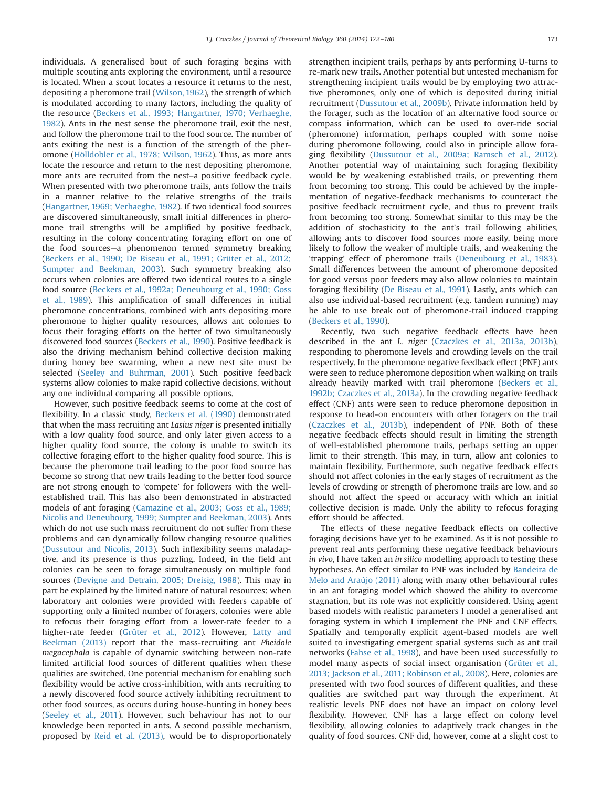individuals. A generalised bout of such foraging begins with multiple scouting ants exploring the environment, until a resource is located. When a scout locates a resource it returns to the nest, depositing a pheromone trail ([Wilson, 1962\)](#page-8-0), the strength of which is modulated according to many factors, including the quality of the resource [\(Beckers et al., 1993; Hangartner, 1970; Verhaeghe,](#page-8-0) [1982](#page-8-0)). Ants in the nest sense the pheromone trail, exit the nest, and follow the pheromone trail to the food source. The number of ants exiting the nest is a function of the strength of the pheromone ([Hölldobler et al., 1978; Wilson, 1962\)](#page-8-0). Thus, as more ants locate the resource and return to the nest depositing pheromone, more ants are recruited from the nest–a positive feedback cycle. When presented with two pheromone trails, ants follow the trails in a manner relative to the relative strengths of the trails ([Hangartner, 1969; Verhaeghe, 1982](#page-8-0)). If two identical food sources are discovered simultaneously, small initial differences in pheromone trail strengths will be amplified by positive feedback, resulting in the colony concentrating foraging effort on one of the food sources—a phenomenon termed symmetry breaking ([Beckers et al., 1990; De Biseau et al., 1991; Grüter et al., 2012;](#page-8-0) [Sumpter and Beekman, 2003\)](#page-8-0). Such symmetry breaking also occurs when colonies are offered two identical routes to a single food source ([Beckers et al., 1992a; Deneubourg et al., 1990; Goss](#page-8-0) [et al., 1989](#page-8-0)). This amplification of small differences in initial pheromone concentrations, combined with ants depositing more pheromone to higher quality resources, allows ant colonies to focus their foraging efforts on the better of two simultaneously discovered food sources [\(Beckers et al., 1990\)](#page-7-0). Positive feedback is also the driving mechanism behind collective decision making during honey bee swarming, when a new nest site must be selected ([Seeley and Buhrman, 2001](#page-8-0)). Such positive feedback systems allow colonies to make rapid collective decisions, without any one individual comparing all possible options.

However, such positive feedback seems to come at the cost of flexibility. In a classic study, [Beckers et al. \(1990\)](#page-7-0) demonstrated that when the mass recruiting ant Lasius niger is presented initially with a low quality food source, and only later given access to a higher quality food source, the colony is unable to switch its collective foraging effort to the higher quality food source. This is because the pheromone trail leading to the poor food source has become so strong that new trails leading to the better food source are not strong enough to 'compete' for followers with the wellestablished trail. This has also been demonstrated in abstracted models of ant foraging [\(Camazine et al., 2003; Goss et al., 1989;](#page-8-0) [Nicolis and Deneubourg, 1999; Sumpter and Beekman, 2003](#page-8-0)). Ants which do not use such mass recruitment do not suffer from these problems and can dynamically follow changing resource qualities ([Dussutour and Nicolis, 2013](#page-7-0)). Such inflexibility seems maladaptive, and its presence is thus puzzling. Indeed, in the field ant colonies can be seen to forage simultaneously on multiple food sources [\(Devigne and Detrain, 2005; Dreisig, 1988\)](#page-7-0). This may in part be explained by the limited nature of natural resources: when laboratory ant colonies were provided with feeders capable of supporting only a limited number of foragers, colonies were able to refocus their foraging effort from a lower-rate feeder to a higher-rate feeder ([Grüter et al., 2012](#page-8-0)). However, [Latty and](#page-8-0) [Beekman \(2013\)](#page-8-0) report that the mass-recruiting ant Pheidole megacephala is capable of dynamic switching between non-rate limited artificial food sources of different qualities when these qualities are switched. One potential mechanism for enabling such flexibility would be active cross-inhibition, with ants recruiting to a newly discovered food source actively inhibiting recruitment to other food sources, as occurs during house-hunting in honey bees ([Seeley et al., 2011](#page-8-0)). However, such behaviour has not to our knowledge been reported in ants. A second possible mechanism, proposed by [Reid et al. \(2013\)](#page-8-0), would be to disproportionately

strengthen incipient trails, perhaps by ants performing U-turns to re-mark new trails. Another potential but untested mechanism for strengthening incipient trails would be by employing two attractive pheromones, only one of which is deposited during initial recruitment [\(Dussutour et al., 2009b](#page-7-0)). Private information held by the forager, such as the location of an alternative food source or compass information, which can be used to over-ride social (pheromone) information, perhaps coupled with some noise during pheromone following, could also in principle allow foraging flexibility [\(Dussutour et al., 2009a; Ramsch et al., 2012\)](#page-8-0). Another potential way of maintaining such foraging flexibility would be by weakening established trails, or preventing them from becoming too strong. This could be achieved by the implementation of negative-feedback mechanisms to counteract the positive feedback recruitment cycle, and thus to prevent trails from becoming too strong. Somewhat similar to this may be the addition of stochasticity to the ant's trail following abilities, allowing ants to discover food sources more easily, being more likely to follow the weaker of multiple trails, and weakening the 'trapping' effect of pheromone trails ([Deneubourg et al., 1983\)](#page-7-0). Small differences between the amount of pheromone deposited for good versus poor feeders may also allow colonies to maintain foraging flexibility ([De Biseau et al., 1991\)](#page-7-0). Lastly, ants which can also use individual-based recruitment (e.g. tandem running) may be able to use break out of pheromone-trail induced trapping ([Beckers et al., 1990](#page-7-0)).

Recently, two such negative feedback effects have been described in the ant L. niger [\(Czaczkes et al., 2013a, 2013b\)](#page-7-0), responding to pheromone levels and crowding levels on the trail respectively. In the pheromone negative feedback effect (PNF) ants were seen to reduce pheromone deposition when walking on trails already heavily marked with trail pheromone ([Beckers et al.,](#page-7-0) [1992b; Czaczkes et al., 2013a\)](#page-7-0). In the crowding negative feedback effect (CNF) ants were seen to reduce pheromone deposition in response to head-on encounters with other foragers on the trail ([Czaczkes et al., 2013b](#page-7-0)), independent of PNF. Both of these negative feedback effects should result in limiting the strength of well-established pheromone trails, perhaps setting an upper limit to their strength. This may, in turn, allow ant colonies to maintain flexibility. Furthermore, such negative feedback effects should not affect colonies in the early stages of recruitment as the levels of crowding or strength of pheromone trails are low, and so should not affect the speed or accuracy with which an initial collective decision is made. Only the ability to refocus foraging effort should be affected.

The effects of these negative feedback effects on collective foraging decisions have yet to be examined. As it is not possible to prevent real ants performing these negative feedback behaviours in vivo, I have taken an in silico modelling approach to testing these hypotheses. An effect similar to PNF was included by [Bandeira de](#page-7-0) [Melo and Araújo \(2011\)](#page-7-0) along with many other behavioural rules in an ant foraging model which showed the ability to overcome stagnation, but its role was not explicitly considered. Using agent based models with realistic parameters I model a generalised ant foraging system in which I implement the PNF and CNF effects. Spatially and temporally explicit agent-based models are well suited to investigating emergent spatial systems such as ant trail networks [\(Fahse et al., 1998\)](#page-7-0), and have been used successfully to model many aspects of social insect organisation [\(Grüter et al.,](#page-8-0) [2013; Jackson et al., 2011; Robinson et al., 2008\)](#page-8-0). Here, colonies are presented with two food sources of different qualities, and these qualities are switched part way through the experiment. At realistic levels PNF does not have an impact on colony level flexibility. However, CNF has a large effect on colony level flexibility, allowing colonies to adaptively track changes in the quality of food sources. CNF did, however, come at a slight cost to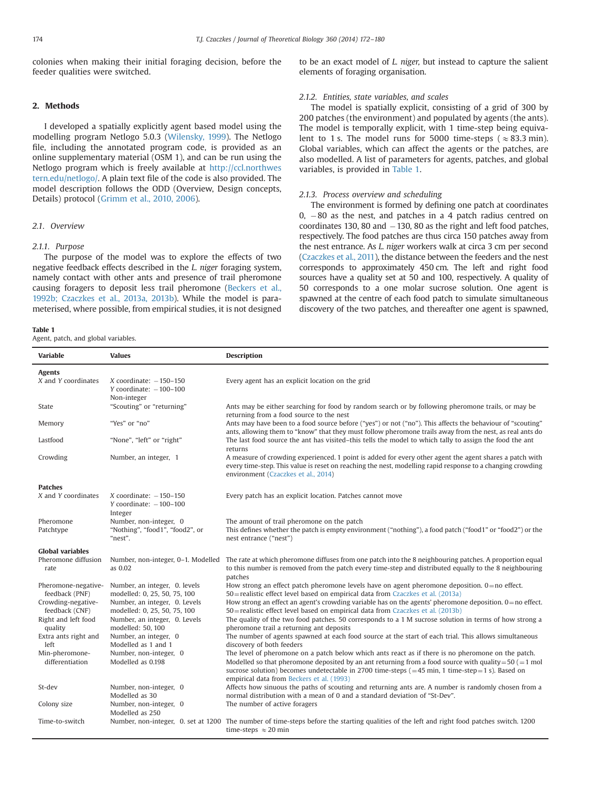colonies when making their initial foraging decision, before the feeder qualities were switched.

## 2. Methods

I developed a spatially explicitly agent based model using the modelling program Netlogo 5.0.3 [\(Wilensky, 1999\)](#page-8-0). The Netlogo file, including the annotated program code, is provided as an online supplementary material (OSM 1), and can be run using the Netlogo program which is freely available at [http://ccl.northwes](http://ccl.northwestern.edu/netlogo/) [tern.edu/netlogo/.](http://ccl.northwestern.edu/netlogo/) A plain text file of the code is also provided. The model description follows the ODD (Overview, Design concepts, Details) protocol ([Grimm et al., 2010, 2006\)](#page-8-0).

## 2.1. Overview

#### 2.1.1. Purpose

The purpose of the model was to explore the effects of two negative feedback effects described in the L. niger foraging system, namely contact with other ants and presence of trail pheromone causing foragers to deposit less trail pheromone ([Beckers et al.,](#page-7-0) [1992b; Czaczkes et al., 2013a, 2013b](#page-7-0)). While the model is parameterised, where possible, from empirical studies, it is not designed

#### Table 1

Agent, patch, and global variables.

to be an exact model of L. niger, but instead to capture the salient elements of foraging organisation.

#### 2.1.2. Entities, state variables, and scales

The model is spatially explicit, consisting of a grid of 300 by 200 patches (the environment) and populated by agents (the ants). The model is temporally explicit, with 1 time-step being equivalent to 1 s. The model runs for 5000 time-steps ( $\approx 83.3$  min). Global variables, which can affect the agents or the patches, are also modelled. A list of parameters for agents, patches, and global variables, is provided in Table 1.

## 2.1.3. Process overview and scheduling

The environment is formed by defining one patch at coordinates  $0, -80$  as the nest, and patches in a 4 patch radius centred on coordinates 130, 80 and  $-130$ , 80 as the right and left food patches, respectively. The food patches are thus circa 150 patches away from the nest entrance. As L. niger workers walk at circa 3 cm per second ([Czaczkes et al., 2011\)](#page-7-0), the distance between the feeders and the nest corresponds to approximately 450 cm. The left and right food sources have a quality set at 50 and 100, respectively. A quality of 50 corresponds to a one molar sucrose solution. One agent is spawned at the centre of each food patch to simulate simultaneous discovery of the two patches, and thereafter one agent is spawned,

| <b>Variable</b>                       | <b>Values</b>                                                         | <b>Description</b>                                                                                                                                                                                                                                                                                                                                                                       |
|---------------------------------------|-----------------------------------------------------------------------|------------------------------------------------------------------------------------------------------------------------------------------------------------------------------------------------------------------------------------------------------------------------------------------------------------------------------------------------------------------------------------------|
| <b>Agents</b>                         |                                                                       |                                                                                                                                                                                                                                                                                                                                                                                          |
| X and Y coordinates                   | $X$ coordinate: $-150-150$<br>Y coordinate: $-100-100$<br>Non-integer | Every agent has an explicit location on the grid                                                                                                                                                                                                                                                                                                                                         |
| State                                 | "Scouting" or "returning"                                             | Ants may be either searching for food by random search or by following pheromone trails, or may be<br>returning from a food source to the nest                                                                                                                                                                                                                                           |
| Memory                                | "Yes" or "no"                                                         | Ants may have been to a food source before ("yes") or not ("no"). This affects the behaviour of "scouting"<br>ants, allowing them to "know" that they must follow pheromone trails away from the nest, as real ants do                                                                                                                                                                   |
| Lastfood                              | "None", "left" or "right"                                             | The last food source the ant has visited-this tells the model to which tally to assign the food the ant<br>returns                                                                                                                                                                                                                                                                       |
| Crowding                              | Number, an integer, 1                                                 | A measure of crowding experienced. 1 point is added for every other agent the agent shares a patch with<br>every time-step. This value is reset on reaching the nest, modelling rapid response to a changing crowding<br>environment (Czaczkes et al., 2014)                                                                                                                             |
| <b>Patches</b>                        |                                                                       |                                                                                                                                                                                                                                                                                                                                                                                          |
| X and Y coordinates                   | X coordinate: $-150-150$<br>Y coordinate: $-100-100$<br>Integer       | Every patch has an explicit location. Patches cannot move                                                                                                                                                                                                                                                                                                                                |
| Pheromone<br>Patchtype                | Number, non-integer, 0<br>"Nothing", "food1", "food2", or<br>"nest".  | The amount of trail pheromone on the patch<br>This defines whether the patch is empty environment ("nothing"), a food patch ("food1" or "food2") or the<br>nest entrance ("nest")                                                                                                                                                                                                        |
| <b>Global variables</b>               |                                                                       |                                                                                                                                                                                                                                                                                                                                                                                          |
| Pheromone diffusion<br>rate           | Number, non-integer, 0-1. Modelled<br>as 0.02                         | The rate at which pheromone diffuses from one patch into the 8 neighbouring patches. A proportion equal<br>to this number is removed from the patch every time-step and distributed equally to the 8 neighbouring<br>patches                                                                                                                                                             |
| Pheromone-negative-<br>feedback (PNF) | Number, an integer, 0. levels<br>modelled: 0, 25, 50, 75, 100         | How strong an effect patch pheromone levels have on agent pheromone deposition. $0 =$ no effect.<br>50=realistic effect level based on empirical data from Czaczkes et al. (2013a)                                                                                                                                                                                                       |
| Crowding-negative-<br>feedback (CNF)  | Number, an integer, 0. Levels<br>modelled: 0, 25, 50, 75, 100         | How strong an effect an agent's crowding variable has on the agents' pheromone deposition. $0 =$ no effect.<br>50=realistic effect level based on empirical data from Czaczkes et al. (2013b)                                                                                                                                                                                            |
| Right and left food<br>quality        | Number, an integer, 0. Levels<br>modelled: 50, 100                    | The quality of the two food patches. 50 corresponds to a 1 M sucrose solution in terms of how strong a<br>pheromone trail a returning ant deposits                                                                                                                                                                                                                                       |
| Extra ants right and<br>left          | Number, an integer, 0<br>Modelled as 1 and 1                          | The number of agents spawned at each food source at the start of each trial. This allows simultaneous<br>discovery of both feeders                                                                                                                                                                                                                                                       |
| Min-pheromone-<br>differentiation     | Number, non-integer, 0<br>Modelled as 0.198                           | The level of pheromone on a patch below which ants react as if there is no pheromone on the patch.<br>Modelled so that pheromone deposited by an ant returning from a food source with quality = $50$ (= 1 mol<br>sucrose solution) becomes undetectable in 2700 time-steps $(=45 \text{ min}, 1 \text{ time-step}=1 \text{ s})$ . Based on<br>empirical data from Beckers et al. (1993) |
| St-dev                                | Number, non-integer, 0<br>Modelled as 30                              | Affects how sinuous the paths of scouting and returning ants are. A number is randomly chosen from a<br>normal distribution with a mean of 0 and a standard deviation of "St-Dev".                                                                                                                                                                                                       |
| Colony size                           | Number, non-integer, 0<br>Modelled as 250                             | The number of active foragers                                                                                                                                                                                                                                                                                                                                                            |
| Time-to-switch                        |                                                                       | Number, non-integer, 0. set at 1200 The number of time-steps before the starting qualities of the left and right food patches switch. 1200<br>time-steps $\approx$ 20 min                                                                                                                                                                                                                |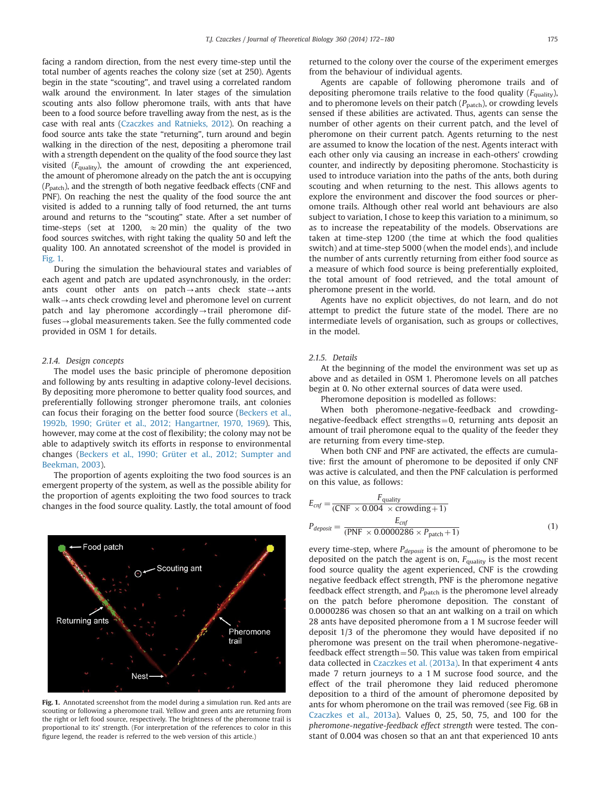facing a random direction, from the nest every time-step until the total number of agents reaches the colony size (set at 250). Agents begin in the state "scouting", and travel using a correlated random walk around the environment. In later stages of the simulation scouting ants also follow pheromone trails, with ants that have been to a food source before travelling away from the nest, as is the case with real ants [\(Czaczkes and Ratnieks, 2012](#page-7-0)). On reaching a food source ants take the state "returning", turn around and begin walking in the direction of the nest, depositing a pheromone trail with a strength dependent on the quality of the food source they last visited  $(F_{\text{quality}})$ , the amount of crowding the ant experienced, the amount of pheromone already on the patch the ant is occupying  $(P_{\text{patch}})$ , and the strength of both negative feedback effects (CNF and PNF). On reaching the nest the quality of the food source the ant visited is added to a running tally of food returned, the ant turns around and returns to the "scouting" state. After a set number of time-steps (set at 1200,  $\approx$  20 min) the quality of the two food sources switches, with right taking the quality 50 and left the quality 100. An annotated screenshot of the model is provided in Fig. 1.

During the simulation the behavioural states and variables of each agent and patch are updated asynchronously, in the order: ants count other ants on patch $\rightarrow$ ants check state $\rightarrow$ ants  $walk \rightarrow$  ants check crowding level and pheromone level on current patch and lay pheromone accordingly $\rightarrow$ trail pheromone diffuses $\rightarrow$  global measurements taken. See the fully commented code provided in OSM 1 for details.

### 2.1.4. Design concepts

The model uses the basic principle of pheromone deposition and following by ants resulting in adaptive colony-level decisions. By depositing more pheromone to better quality food sources, and preferentially following stronger pheromone trails, ant colonies can focus their foraging on the better food source ([Beckers et al.,](#page-7-0) [1992b, 1990; Grüter et al., 2012; Hangartner, 1970, 1969](#page-8-0)). This, however, may come at the cost of flexibility; the colony may not be able to adaptively switch its efforts in response to environmental changes [\(Beckers et al., 1990; Grüter et al., 2012; Sumpter and](#page-8-0) [Beekman, 2003](#page-8-0)).

The proportion of agents exploiting the two food sources is an emergent property of the system, as well as the possible ability for the proportion of agents exploiting the two food sources to track changes in the food source quality. Lastly, the total amount of food



Fig. 1. Annotated screenshot from the model during a simulation run. Red ants are scouting or following a pheromone trail. Yellow and green ants are returning from the right or left food source, respectively. The brightness of the pheromone trail is proportional to its' strength. (For interpretation of the references to color in this figure legend, the reader is referred to the web version of this article.)

returned to the colony over the course of the experiment emerges from the behaviour of individual agents.

Agents are capable of following pheromone trails and of depositing pheromone trails relative to the food quality  $(F_{\text{quality}})$ , and to pheromone levels on their patch  $(P_{\text{patch}})$ , or crowding levels sensed if these abilities are activated. Thus, agents can sense the number of other agents on their current patch, and the level of pheromone on their current patch. Agents returning to the nest are assumed to know the location of the nest. Agents interact with each other only via causing an increase in each-others' crowding counter, and indirectly by depositing pheromone. Stochasticity is used to introduce variation into the paths of the ants, both during scouting and when returning to the nest. This allows agents to explore the environment and discover the food sources or pheromone trails. Although other real world ant behaviours are also subject to variation, I chose to keep this variation to a minimum, so as to increase the repeatability of the models. Observations are taken at time-step 1200 (the time at which the food qualities switch) and at time-step 5000 (when the model ends), and include the number of ants currently returning from either food source as a measure of which food source is being preferentially exploited, the total amount of food retrieved, and the total amount of pheromone present in the world.

Agents have no explicit objectives, do not learn, and do not attempt to predict the future state of the model. There are no intermediate levels of organisation, such as groups or collectives, in the model.

#### 215 Details

At the beginning of the model the environment was set up as above and as detailed in OSM 1. Pheromone levels on all patches begin at 0. No other external sources of data were used.

Pheromone deposition is modelled as follows:

When both pheromone-negative-feedback and crowdingnegative-feedback effect strengths $=0$ , returning ants deposit an amount of trail pheromone equal to the quality of the feeder they are returning from every time-step.

When both CNF and PNF are activated, the effects are cumulative: first the amount of pheromone to be deposited if only CNF was active is calculated, and then the PNF calculation is performed on this value, as follows:

$$
E_{cnf} = \frac{F_{\text{quality}}}{(\text{CNF} \times 0.004 \times \text{crowding} + 1)}
$$
  
\n
$$
P_{\text{deposit}} = \frac{E_{cnf}}{(\text{PNF} \times 0.0000286 \times P_{\text{patch}} + 1)}
$$
 (1)

every time-step, where  $P_{deposit}$  is the amount of pheromone to be deposited on the patch the agent is on,  $F_{\text{quality}}$  is the most recent food source quality the agent experienced, CNF is the crowding negative feedback effect strength, PNF is the pheromone negative feedback effect strength, and  $P_{patch}$  is the pheromone level already on the patch before pheromone deposition. The constant of 0.0000286 was chosen so that an ant walking on a trail on which 28 ants have deposited pheromone from a 1 M sucrose feeder will deposit 1/3 of the pheromone they would have deposited if no pheromone was present on the trail when pheromone-negativefeedback effect strength=50. This value was taken from empirical data collected in [Czaczkes et al. \(2013a\).](#page-7-0) In that experiment 4 ants made 7 return journeys to a 1 M sucrose food source, and the effect of the trail pheromone they laid reduced pheromone deposition to a third of the amount of pheromone deposited by ants for whom pheromone on the trail was removed (see Fig. 6B in [Czaczkes et al., 2013a](#page-7-0)). Values 0, 25, 50, 75, and 100 for the pheromone-negative-feedback effect strength were tested. The constant of 0.004 was chosen so that an ant that experienced 10 ants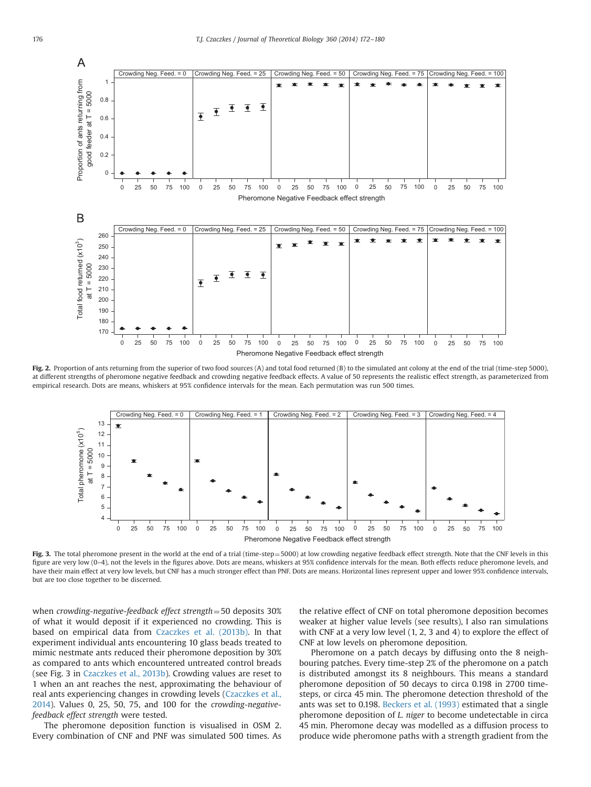<span id="page-4-0"></span>

Fig. 2. Proportion of ants returning from the superior of two food sources (A) and total food returned (B) to the simulated ant colony at the end of the trial (time-step 5000), at different strengths of pheromone negative feedback and crowding negative feedback effects. A value of 50 represents the realistic effect strength, as parameterized from empirical research. Dots are means, whiskers at 95% confidence intervals for the mean. Each permutation was run 500 times.



Fig. 3. The total pheromone present in the world at the end of a trial (time-step=5000) at low crowding negative feedback effect strength. Note that the CNF levels in this figure are very low (0–4), not the levels in the figures above. Dots are means, whiskers at 95% confidence intervals for the mean. Both effects reduce pheromone levels, and have their main effect at very low levels, but CNF has a much stronger effect than PNF. Dots are means. Horizontal lines represent upper and lower 95% confidence intervals, but are too close together to be discerned.

when crowding-negative-feedback effect strength  $=$  50 deposits 30% of what it would deposit if it experienced no crowding. This is based on empirical data from [Czaczkes et al. \(2013b\).](#page-7-0) In that experiment individual ants encountering 10 glass beads treated to mimic nestmate ants reduced their pheromone deposition by 30% as compared to ants which encountered untreated control breads (see Fig. 3 in [Czaczkes et al., 2013b\)](#page-7-0). Crowding values are reset to 1 when an ant reaches the nest, approximating the behaviour of real ants experiencing changes in crowding levels [\(Czaczkes et al.,](#page-7-0) [2014\)](#page-7-0). Values 0, 25, 50, 75, and 100 for the crowding-negativefeedback effect strength were tested.

The pheromone deposition function is visualised in OSM 2. Every combination of CNF and PNF was simulated 500 times. As

the relative effect of CNF on total pheromone deposition becomes weaker at higher value levels (see results), I also ran simulations with CNF at a very low level (1, 2, 3 and 4) to explore the effect of CNF at low levels on pheromone deposition.

Pheromone on a patch decays by diffusing onto the 8 neighbouring patches. Every time-step 2% of the pheromone on a patch is distributed amongst its 8 neighbours. This means a standard pheromone deposition of 50 decays to circa 0.198 in 2700 timesteps, or circa 45 min. The pheromone detection threshold of the ants was set to 0.198. [Beckers et al. \(1993\)](#page-7-0) estimated that a single pheromone deposition of L. niger to become undetectable in circa 45 min. Pheromone decay was modelled as a diffusion process to produce wide pheromone paths with a strength gradient from the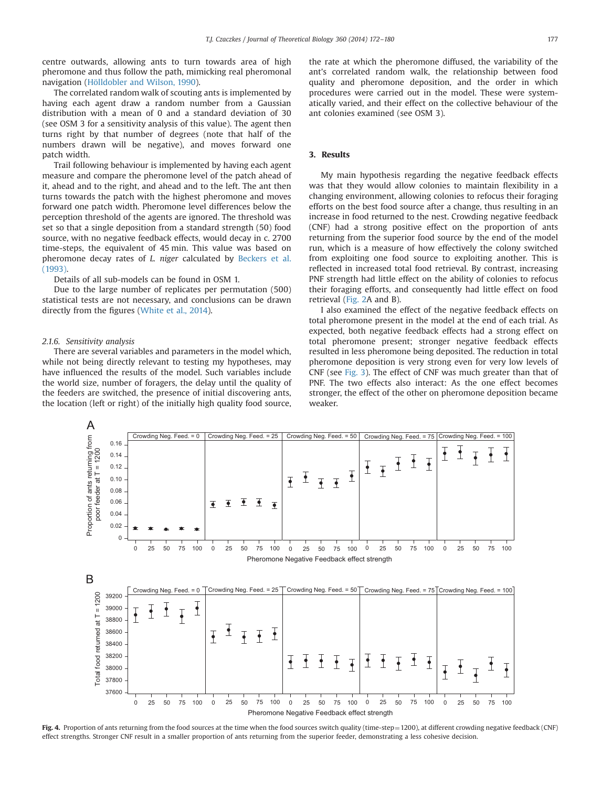<span id="page-5-0"></span>centre outwards, allowing ants to turn towards area of high pheromone and thus follow the path, mimicking real pheromonal navigation [\(Hölldobler and Wilson, 1990](#page-8-0)).

The correlated random walk of scouting ants is implemented by having each agent draw a random number from a Gaussian distribution with a mean of 0 and a standard deviation of 30 (see OSM 3 for a sensitivity analysis of this value). The agent then turns right by that number of degrees (note that half of the numbers drawn will be negative), and moves forward one patch width.

Trail following behaviour is implemented by having each agent measure and compare the pheromone level of the patch ahead of it, ahead and to the right, and ahead and to the left. The ant then turns towards the patch with the highest pheromone and moves forward one patch width. Pheromone level differences below the perception threshold of the agents are ignored. The threshold was set so that a single deposition from a standard strength (50) food source, with no negative feedback effects, would decay in c. 2700 time-steps, the equivalent of 45 min. This value was based on pheromone decay rates of L. niger calculated by [Beckers et al.](#page-7-0) [\(1993\)](#page-7-0).

Details of all sub-models can be found in OSM 1.

Due to the large number of replicates per permutation (500) statistical tests are not necessary, and conclusions can be drawn directly from the figures ([White et al., 2014](#page-8-0)).

#### 2.1.6. Sensitivity analysis

There are several variables and parameters in the model which, while not being directly relevant to testing my hypotheses, may have influenced the results of the model. Such variables include the world size, number of foragers, the delay until the quality of the feeders are switched, the presence of initial discovering ants, the location (left or right) of the initially high quality food source,

the rate at which the pheromone diffused, the variability of the ant's correlated random walk, the relationship between food quality and pheromone deposition, and the order in which procedures were carried out in the model. These were systematically varied, and their effect on the collective behaviour of the ant colonies examined (see OSM 3).

## 3. Results

My main hypothesis regarding the negative feedback effects was that they would allow colonies to maintain flexibility in a changing environment, allowing colonies to refocus their foraging efforts on the best food source after a change, thus resulting in an increase in food returned to the nest. Crowding negative feedback (CNF) had a strong positive effect on the proportion of ants returning from the superior food source by the end of the model run, which is a measure of how effectively the colony switched from exploiting one food source to exploiting another. This is reflected in increased total food retrieval. By contrast, increasing PNF strength had little effect on the ability of colonies to refocus their foraging efforts, and consequently had little effect on food retrieval [\(Fig. 2A](#page-4-0) and B).

I also examined the effect of the negative feedback effects on total pheromone present in the model at the end of each trial. As expected, both negative feedback effects had a strong effect on total pheromone present; stronger negative feedback effects resulted in less pheromone being deposited. The reduction in total pheromone deposition is very strong even for very low levels of CNF (see [Fig. 3](#page-4-0)). The effect of CNF was much greater than that of PNF. The two effects also interact: As the one effect becomes stronger, the effect of the other on pheromone deposition became weaker.



Fig. 4. Proportion of ants returning from the food sources at the time when the food sources switch quality (time-step = 1200), at different crowding negative feedback (CNF) effect strengths. Stronger CNF result in a smaller proportion of ants returning from the superior feeder, demonstrating a less cohesive decision.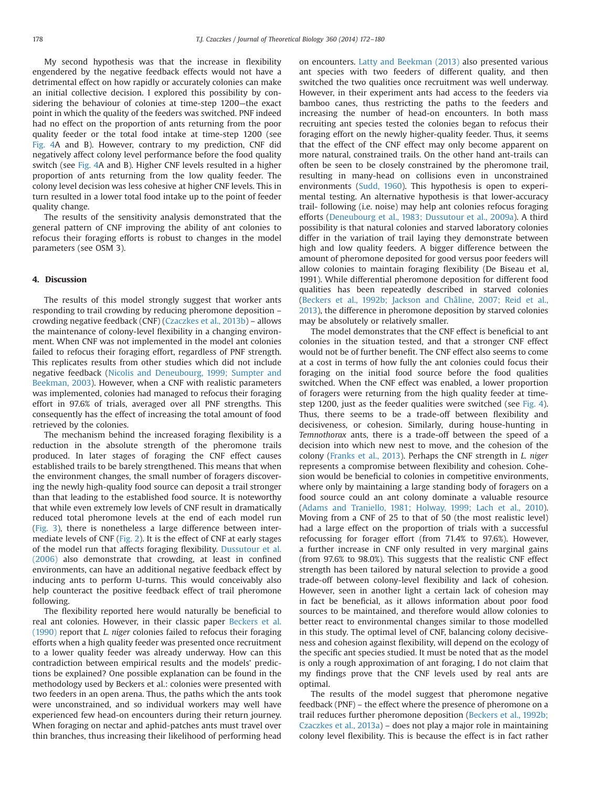My second hypothesis was that the increase in flexibility engendered by the negative feedback effects would not have a detrimental effect on how rapidly or accurately colonies can make an initial collective decision. I explored this possibility by considering the behaviour of colonies at time-step 1200—the exact point in which the quality of the feeders was switched. PNF indeed had no effect on the proportion of ants returning from the poor quality feeder or the total food intake at time-step 1200 (see [Fig. 4](#page-5-0)A and B). However, contrary to my prediction, CNF did negatively affect colony level performance before the food quality switch (see [Fig. 4](#page-5-0)A and B). Higher CNF levels resulted in a higher proportion of ants returning from the low quality feeder. The colony level decision was less cohesive at higher CNF levels. This in turn resulted in a lower total food intake up to the point of feeder quality change.

The results of the sensitivity analysis demonstrated that the general pattern of CNF improving the ability of ant colonies to refocus their foraging efforts is robust to changes in the model parameters (see OSM 3).

#### 4. Discussion

The results of this model strongly suggest that worker ants responding to trail crowding by reducing pheromone deposition – crowding negative feedback (CNF) ([Czaczkes et al., 2013b\)](#page-7-0) – allows the maintenance of colony-level flexibility in a changing environment. When CNF was not implemented in the model ant colonies failed to refocus their foraging effort, regardless of PNF strength. This replicates results from other studies which did not include negative feedback [\(Nicolis and Deneubourg, 1999; Sumpter and](#page-8-0) [Beekman, 2003\)](#page-8-0). However, when a CNF with realistic parameters was implemented, colonies had managed to refocus their foraging effort in 97.6% of trials, averaged over all PNF strengths. This consequently has the effect of increasing the total amount of food retrieved by the colonies.

The mechanism behind the increased foraging flexibility is a reduction in the absolute strength of the pheromone trails produced. In later stages of foraging the CNF effect causes established trails to be barely strengthened. This means that when the environment changes, the small number of foragers discovering the newly high-quality food source can deposit a trail stronger than that leading to the established food source. It is noteworthy that while even extremely low levels of CNF result in dramatically reduced total pheromone levels at the end of each model run ([Fig. 3\)](#page-4-0), there is nonetheless a large difference between intermediate levels of CNF [\(Fig. 2\)](#page-4-0). It is the effect of CNF at early stages of the model run that affects foraging flexibility. [Dussutour et al.](#page-7-0) [\(2006\)](#page-7-0) also demonstrate that crowding, at least in confined environments, can have an additional negative feedback effect by inducing ants to perform U-turns. This would conceivably also help counteract the positive feedback effect of trail pheromone following.

The flexibility reported here would naturally be beneficial to real ant colonies. However, in their classic paper [Beckers et al.](#page-7-0) [\(1990\)](#page-7-0) report that L. niger colonies failed to refocus their foraging efforts when a high quality feeder was presented once recruitment to a lower quality feeder was already underway. How can this contradiction between empirical results and the models' predictions be explained? One possible explanation can be found in the methodology used by Beckers et al.: colonies were presented with two feeders in an open arena. Thus, the paths which the ants took were unconstrained, and so individual workers may well have experienced few head-on encounters during their return journey. When foraging on nectar and aphid-patches ants must travel over thin branches, thus increasing their likelihood of performing head

on encounters. [Latty and Beekman \(2013\)](#page-8-0) also presented various ant species with two feeders of different quality, and then switched the two qualities once recruitment was well underway. However, in their experiment ants had access to the feeders via bamboo canes, thus restricting the paths to the feeders and increasing the number of head-on encounters. In both mass recruiting ant species tested the colonies began to refocus their foraging effort on the newly higher-quality feeder. Thus, it seems that the effect of the CNF effect may only become apparent on more natural, constrained trails. On the other hand ant-trails can often be seen to be closely constrained by the pheromone trail, resulting in many-head on collisions even in unconstrained environments ([Sudd, 1960](#page-8-0)). This hypothesis is open to experimental testing. An alternative hypothesis is that lower-accuracy trail- following (i.e. noise) may help ant colonies refocus foraging efforts [\(Deneubourg et al., 1983; Dussutour et al., 2009a\)](#page-7-0). A third possibility is that natural colonies and starved laboratory colonies differ in the variation of trail laying they demonstrate between high and low quality feeders. A bigger difference between the amount of pheromone deposited for good versus poor feeders will allow colonies to maintain foraging flexibility (De Biseau et al, 1991). While differential pheromone deposition for different food qualities has been repeatedly described in starved colonies ([Beckers et al., 1992b; Jackson and Châline, 2007; Reid et al.,](#page-8-0) [2013\)](#page-8-0), the difference in pheromone deposition by starved colonies may be absolutely or relatively smaller.

The model demonstrates that the CNF effect is beneficial to ant colonies in the situation tested, and that a stronger CNF effect would not be of further benefit. The CNF effect also seems to come at a cost in terms of how fully the ant colonies could focus their foraging on the initial food source before the food qualities switched. When the CNF effect was enabled, a lower proportion of foragers were returning from the high quality feeder at timestep 1200, just as the feeder qualities were switched (see [Fig. 4\)](#page-5-0). Thus, there seems to be a trade-off between flexibility and decisiveness, or cohesion. Similarly, during house-hunting in Temnothorax ants, there is a trade-off between the speed of a decision into which new nest to move, and the cohesion of the colony ([Franks et al., 2013\)](#page-7-0). Perhaps the CNF strength in L. niger represents a compromise between flexibility and cohesion. Cohesion would be beneficial to colonies in competitive environments, where only by maintaining a large standing body of foragers on a food source could an ant colony dominate a valuable resource ([Adams and Traniello, 1981; Holway, 1999; Lach et al., 2010\)](#page-8-0). Moving from a CNF of 25 to that of 50 (the most realistic level) had a large effect on the proportion of trials with a successful refocussing for forager effort (from 71.4% to 97.6%). However, a further increase in CNF only resulted in very marginal gains (from 97.6% to 98.0%). This suggests that the realistic CNF effect strength has been tailored by natural selection to provide a good trade-off between colony-level flexibility and lack of cohesion. However, seen in another light a certain lack of cohesion may in fact be beneficial, as it allows information about poor food sources to be maintained, and therefore would allow colonies to better react to environmental changes similar to those modelled in this study. The optimal level of CNF, balancing colony decisiveness and cohesion against flexibility, will depend on the ecology of the specific ant species studied. It must be noted that as the model is only a rough approximation of ant foraging, I do not claim that my findings prove that the CNF levels used by real ants are optimal.

The results of the model suggest that pheromone negative feedback (PNF) – the effect where the presence of pheromone on a trail reduces further pheromone deposition ([Beckers et al., 1992b;](#page-7-0) [Czaczkes et al., 2013a\)](#page-7-0) – does not play a major role in maintaining colony level flexibility. This is because the effect is in fact rather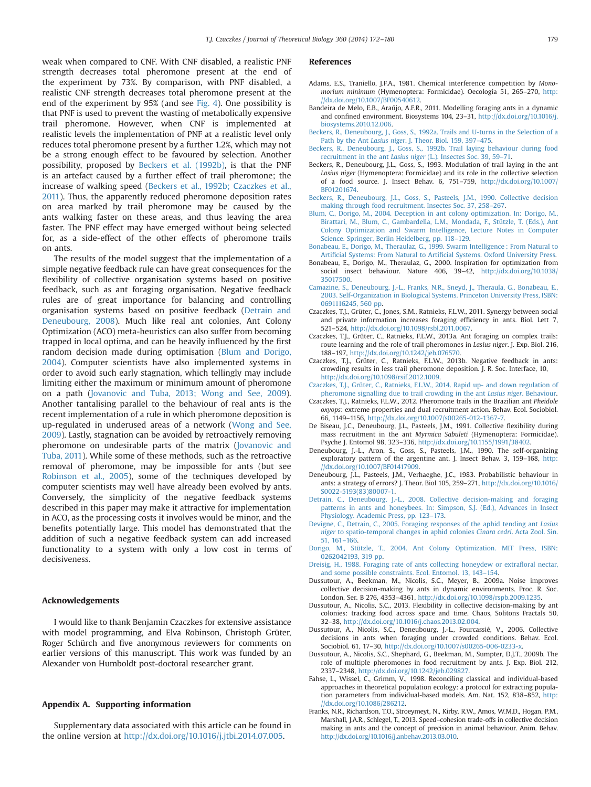<span id="page-7-0"></span>weak when compared to CNF. With CNF disabled, a realistic PNF strength decreases total pheromone present at the end of the experiment by 73%. By comparison, with PNF disabled, a realistic CNF strength decreases total pheromone present at the end of the experiment by 95% (and see [Fig. 4](#page-5-0)). One possibility is that PNF is used to prevent the wasting of metabolically expensive trail pheromone. However, when CNF is implemented at realistic levels the implementation of PNF at a realistic level only reduces total pheromone present by a further 1.2%, which may not be a strong enough effect to be favoured by selection. Another possibility, proposed by Beckers et al. (1992b), is that the PNF is an artefact caused by a further effect of trail pheromone; the increase of walking speed (Beckers et al., 1992b; Czaczkes et al., 2011). Thus, the apparently reduced pheromone deposition rates on area marked by trail pheromone may be caused by the ants walking faster on these areas, and thus leaving the area faster. The PNF effect may have emerged without being selected for, as a side-effect of the other effects of pheromone trails on ants.

The results of the model suggest that the implementation of a simple negative feedback rule can have great consequences for the flexibility of collective organisation systems based on positive feedback, such as ant foraging organisation. Negative feedback rules are of great importance for balancing and controlling organisation systems based on positive feedback (Detrain and Deneubourg, 2008). Much like real ant colonies, Ant Colony Optimization (ACO) meta-heuristics can also suffer from becoming trapped in local optima, and can be heavily influenced by the first random decision made during optimisation (Blum and Dorigo, 2004). Computer scientists have also implemented systems in order to avoid such early stagnation, which tellingly may include limiting either the maximum or minimum amount of pheromone on a path ([Jovanovic and Tuba, 2013; Wong and See, 2009\)](#page-8-0). Another tantalising parallel to the behaviour of real ants is the recent implementation of a rule in which pheromone deposition is up-regulated in underused areas of a network ([Wong and See,](#page-8-0) [2009\)](#page-8-0). Lastly, stagnation can be avoided by retroactively removing pheromone on undesirable parts of the matrix ([Jovanovic and](#page-8-0) [Tuba, 2011](#page-8-0)). While some of these methods, such as the retroactive removal of pheromone, may be impossible for ants (but see [Robinson et al., 2005](#page-8-0)), some of the techniques developed by computer scientists may well have already been evolved by ants. Conversely, the simplicity of the negative feedback systems described in this paper may make it attractive for implementation in ACO, as the processing costs it involves would be minor, and the benefits potentially large. This model has demonstrated that the addition of such a negative feedback system can add increased functionality to a system with only a low cost in terms of decisiveness.

#### Acknowledgements

I would like to thank Benjamin Czaczkes for extensive assistance with model programming, and Elva Robinson, Christoph Grüter, Roger Schürch and five anonymous reviewers for comments on earlier versions of this manuscript. This work was funded by an Alexander von Humboldt post-doctoral researcher grant.

#### Appendix A. Supporting information

Supplementary data associated with this article can be found in the online version at <http://dx.doi.org/10.1016/j.jtbi.2014.07.005>.

#### References

- Adams, E.S., Traniello, J.F.A., 1981. Chemical interference competition by Monomorium minimum (Hymenoptera: Formicidae). Oecologia 51, 265–270, [http:](http://dx.doi.org/10.1007/BF00540612) [//dx.doi.org/10.1007/BF00540612](http://dx.doi.org/10.1007/BF00540612).
- Bandeira de Melo, E.B., Araújo, A.F.R., 2011. Modelling foraging ants in a dynamic and confined environment. Biosystems 104, 23–31, [http://dx.doi.org/10.1016/j.](http://dx.doi.org/10.1016/j.biosystems.2010.12.006) [biosystems.2010.12.006.](http://dx.doi.org/10.1016/j.biosystems.2010.12.006)
- [Beckers, R., Deneubourg, J., Goss, S., 1992a. Trails and U-turns in the Selection of a](http://refhub.elsevier.com/S0022-5193(14)00398-1/sbref3) Path by the Ant Lasius niger[. J. Theor. Biol. 159, 397](http://refhub.elsevier.com/S0022-5193(14)00398-1/sbref3)–475.
- [Beckers, R., Deneubourg, J., Goss, S., 1992b. Trail laying behaviour during food](http://refhub.elsevier.com/S0022-5193(14)00398-1/sbref4) recruitment in the ant Lasius niger [\(L.\). Insectes Soc. 39, 59](http://refhub.elsevier.com/S0022-5193(14)00398-1/sbref4)–71.
- Beckers, R., Deneubourg, J.L., Goss, S., 1993. Modulation of trail laying in the ant Lasius niger (Hymenoptera: Formicidae) and its role in the collective selection of a food source. J. Insect Behav. 6, 751–759, [http://dx.doi.org/10.1007/](http://dx.doi.org/10.1007/BF01201674) [BF01201674](http://dx.doi.org/10.1007/BF01201674).
- [Beckers, R., Deneubourg, J.L., Goss, S., Pasteels, J.M., 1990. Collective decision](http://refhub.elsevier.com/S0022-5193(14)00398-1/sbref6) [making through food recruitment. Insectes Soc. 37, 258](http://refhub.elsevier.com/S0022-5193(14)00398-1/sbref6)–267.
- [Blum, C., Dorigo, M., 2004. Deception in ant colony optimization. In: Dorigo, M.,](http://refhub.elsevier.com/S0022-5193(14)00398-1/sbref7) [Birattari, M., Blum, C., Gambardella, L.M., Mondada, F., Stützle, T. \(Eds.\), Ant](http://refhub.elsevier.com/S0022-5193(14)00398-1/sbref7) [Colony Optimization and Swarm Intelligence, Lecture Notes in Computer](http://refhub.elsevier.com/S0022-5193(14)00398-1/sbref7) [Science. Springer, Berlin Heidelberg, pp. 118](http://refhub.elsevier.com/S0022-5193(14)00398-1/sbref7)–129.
- [Bonabeau, E., Dorigo, M., Theraulaz, G., 1999. Swarm Intelligence : From Natural to](http://refhub.elsevier.com/S0022-5193(14)00398-1/sbref8) Artificial Systems: From Natural to Artifi[cial Systems. Oxford University Press.](http://refhub.elsevier.com/S0022-5193(14)00398-1/sbref8)
- Bonabeau, E., Dorigo, M., Theraulaz, G., 2000. Inspiration for optimization from social insect behaviour. Nature 406, 39–42, [http://dx.doi.org/10.1038/](http://dx.doi.org/10.1038/35017500) [35017500](http://dx.doi.org/10.1038/35017500).
- [Camazine, S., Deneubourg, J.-L., Franks, N.R., Sneyd, J., Theraula, G., Bonabeau, E.,](http://refhub.elsevier.com/S0022-5193(14)00398-1/sbref10) [2003. Self-Organization in Biological Systems. Princeton University Press, ISBN:](http://refhub.elsevier.com/S0022-5193(14)00398-1/sbref10) [0691116245, 560 pp.](http://refhub.elsevier.com/S0022-5193(14)00398-1/sbref10)
- Czaczkes, T.J., Grüter, C., Jones, S.M., Ratnieks, F.L.W., 2011. Synergy between social and private information increases foraging efficiency in ants. Biol. Lett 7, 521–524, [http://dx.doi.org/10.1098/rsbl.2011.0067.](http://dx.doi.org/10.1098/rsbl.2011.0067)
- Czaczkes, T.J., Grüter, C., Ratnieks, F.L.W., 2013a. Ant foraging on complex trails: route learning and the role of trail pheromones in Lasius niger. J. Exp. Biol. 216, 188–197, <http://dx.doi.org/10.1242/jeb.076570>.
- Czaczkes, T.J., Grüter, C., Ratnieks, F.L.W., 2013b. Negative feedback in ants: crowding results in less trail pheromone deposition. J. R. Soc. Interface, 10, [http://dx.doi.org/10.1098/rsif.2012.1009.](http://dx.doi.org/10.1098/rsif.2012.1009)
- [Czaczkes, T.J., Grüter, C., Ratnieks, F.L.W., 2014. Rapid up- and down regulation of](http://refhub.elsevier.com/S0022-5193(14)00398-1/sbref14) [pheromone signalling due to trail crowding in the ant](http://refhub.elsevier.com/S0022-5193(14)00398-1/sbref14) Lasius niger. Behaviour.
- Czaczkes, T.J., Ratnieks, F.L.W., 2012. Pheromone trails in the Brazilian ant Pheidole oxyops: extreme properties and dual recruitment action. Behav. Ecol. Sociobiol. 66, 1149–1156, [http://dx.doi.org/10.1007/s00265-012-1367-7.](http://dx.doi.org/10.1007/s00265-012-1367-7)
- De Biseau, J.C., Deneubourg, J.L., Pasteels, J.M., 1991. Collective flexibility during mass recruitment in the ant Myrmica Sabuleti (Hymenoptera: Formicidae). Psyche J. Entomol 98, 323–336, <http://dx.doi.org/10.1155/1991/38402>.
- Deneubourg, J.-L., Aron, S., Goss, S., Pasteels, J.M., 1990. The self-organizing exploratory pattern of the argentine ant. J. Insect Behav. 3, 159–168, [http:](http://dx.doi.org/10.1007/BF01417909) [//dx.doi.org/10.1007/BF01417909](http://dx.doi.org/10.1007/BF01417909).
- Deneubourg, J.L., Pasteels, J.M., Verhaeghe, J.C., 1983. Probabilistic behaviour in ants: a strategy of errors? J. Theor. Biol 105, 259–271, [http://dx.doi.org/10.1016/](http://dx.doi.org/10.1016/S0022-5193(83)80007-1) [S0022-5193\(83\)80007-1.](http://dx.doi.org/10.1016/S0022-5193(83)80007-1)
- [Detrain, C., Deneubourg, J.-L., 2008. Collective decision-making and foraging](http://refhub.elsevier.com/S0022-5193(14)00398-1/sbref19) [patterns in ants and honeybees. In: Simpson, S.J. \(Ed.\), Advances in Insect](http://refhub.elsevier.com/S0022-5193(14)00398-1/sbref19) [Physiology. Academic Press, pp. 123](http://refhub.elsevier.com/S0022-5193(14)00398-1/sbref19)–173.
- [Devigne, C., Detrain, C., 2005. Foraging responses of the aphid tending ant](http://refhub.elsevier.com/S0022-5193(14)00398-1/sbref20) Lasius niger [to spatio-temporal changes in aphid colonies](http://refhub.elsevier.com/S0022-5193(14)00398-1/sbref20) Cinara cedri. Acta Zool. Sin. [51, 161](http://refhub.elsevier.com/S0022-5193(14)00398-1/sbref20)–166.
- [Dorigo, M., Stützle, T., 2004. Ant Colony Optimization. MIT Press, ISBN:](http://refhub.elsevier.com/S0022-5193(14)00398-1/sbref21) [0262042193, 319 pp.](http://refhub.elsevier.com/S0022-5193(14)00398-1/sbref21)
- [Dreisig, H., 1988. Foraging rate of ants collecting honeydew or extra](http://refhub.elsevier.com/S0022-5193(14)00398-1/sbref22)floral nectar, [and some possible constraints. Ecol. Entomol. 13, 143](http://refhub.elsevier.com/S0022-5193(14)00398-1/sbref22)–154.
- Dussutour, A., Beekman, M., Nicolis, S.C., Meyer, B., 2009a. Noise improves collective decision-making by ants in dynamic environments. Proc. R. Soc. London, Ser. B 276, 4353–4361, <http://dx.doi.org/10.1098/rspb.2009.1235>.
- Dussutour, A., Nicolis, S.C., 2013. Flexibility in collective decision-making by ant colonies: tracking food across space and time. Chaos, Solitons Fractals 50, 32–38, <http://dx.doi.org/10.1016/j.chaos.2013.02.004>.
- Dussutour, A., Nicolis, S.C., Deneubourg, J.-L., Fourcassié, V., 2006. Collective decisions in ants when foraging under crowded conditions. Behav. Ecol. Sociobiol. 61, 17–30, <http://dx.doi.org/10.1007/s00265-006-0233-x>.
- Dussutour, A., Nicolis, S.C., Shephard, G., Beekman, M., Sumpter, D.J.T., 2009b. The role of multiple pheromones in food recruitment by ants. J. Exp. Biol. 212, 2337–2348, <http://dx.doi.org/10.1242/jeb.029827>.
- Fahse, L., Wissel, C., Grimm, V., 1998. Reconciling classical and individual‐based approaches in theoretical population ecology: a protocol for extracting population parameters from individual‐based models. Am. Nat. 152, 838–852, [http:](http://dx.doi.org/10.1086/286212) [//dx.doi.org/10.1086/286212](http://dx.doi.org/10.1086/286212).
- Franks, N.R., Richardson, T.O., Stroeymeyt, N., Kirby, R.W., Amos, W.M.D., Hogan, P.M., Marshall, J.A.R., Schlegel, T., 2013. Speed–cohesion trade-offs in collective decision making in ants and the concept of precision in animal behaviour. Anim. Behav. [http://dx.doi.org/10.1016/j.anbehav.2013.03.010](dx.doi.org/10.1016/j.anbehav.2013.03.010).